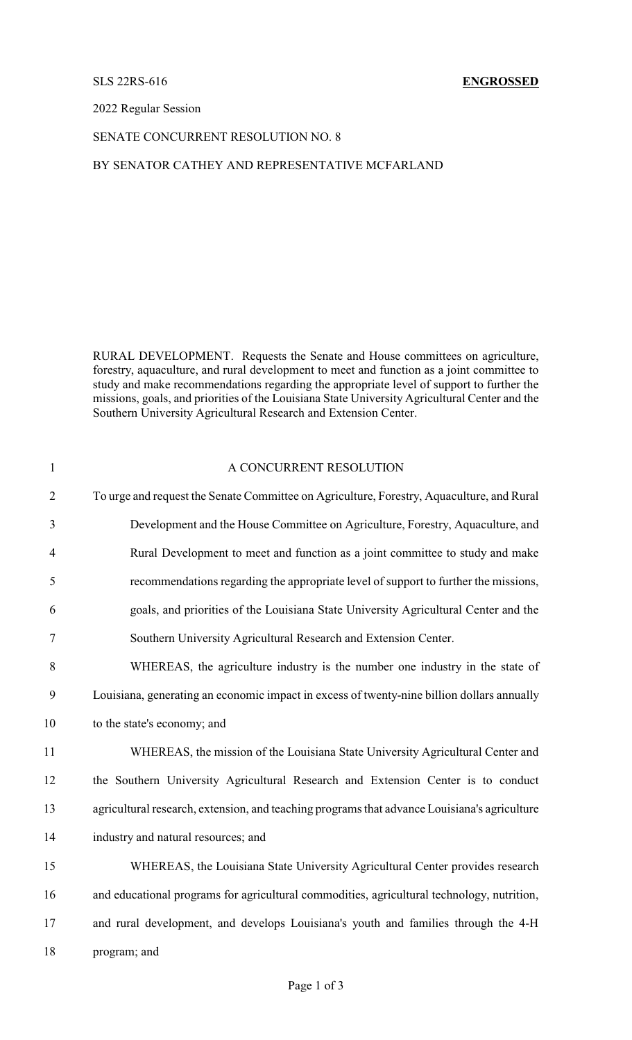## SLS 22RS-616 **ENGROSSED**

2022 Regular Session

# SENATE CONCURRENT RESOLUTION NO. 8

## BY SENATOR CATHEY AND REPRESENTATIVE MCFARLAND

RURAL DEVELOPMENT. Requests the Senate and House committees on agriculture, forestry, aquaculture, and rural development to meet and function as a joint committee to study and make recommendations regarding the appropriate level of support to further the missions, goals, and priorities of the Louisiana State University Agricultural Center and the Southern University Agricultural Research and Extension Center.

# 1 A CONCURRENT RESOLUTION To urge and request the Senate Committee on Agriculture, Forestry, Aquaculture, and Rural Development and the House Committee on Agriculture, Forestry, Aquaculture, and Rural Development to meet and function as a joint committee to study and make recommendations regarding the appropriate level of support to further the missions, goals, and priorities of the Louisiana State University Agricultural Center and the Southern University Agricultural Research and Extension Center. WHEREAS, the agriculture industry is the number one industry in the state of Louisiana, generating an economic impact in excess of twenty-nine billion dollars annually to the state's economy; and WHEREAS, the mission of the Louisiana State University Agricultural Center and the Southern University Agricultural Research and Extension Center is to conduct agricultural research, extension, and teaching programs that advance Louisiana's agriculture industry and natural resources; and WHEREAS, the Louisiana State University Agricultural Center provides research and educational programs for agricultural commodities, agricultural technology, nutrition, and rural development, and develops Louisiana's youth and families through the 4-H program; and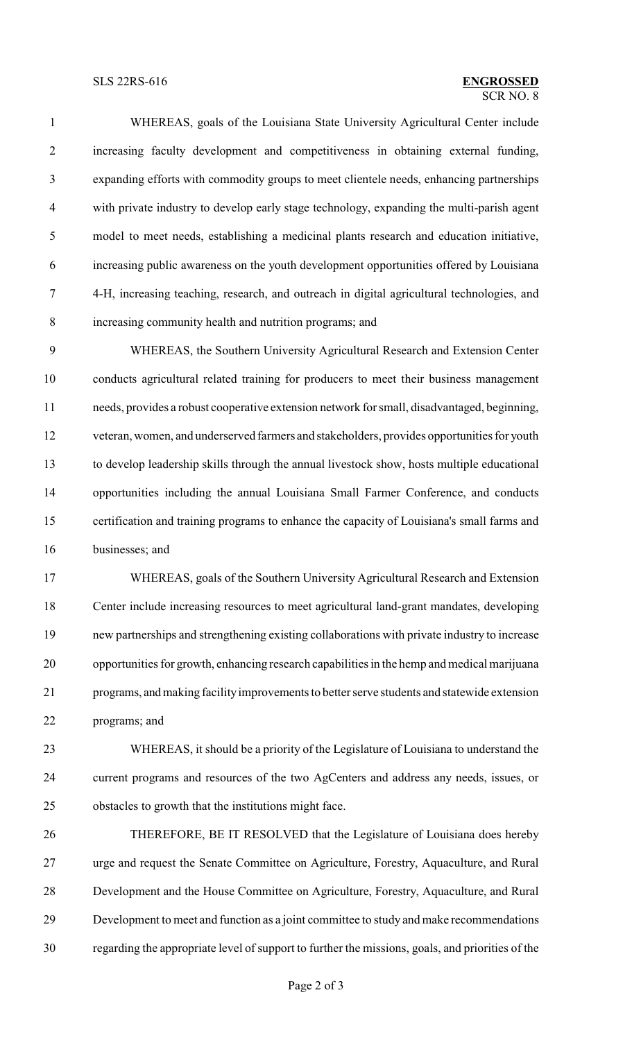## $\overline{\text{SCR NO } 8}$ SLS 22RS-616 **ENGROSSED**

 WHEREAS, goals of the Louisiana State University Agricultural Center include increasing faculty development and competitiveness in obtaining external funding, expanding efforts with commodity groups to meet clientele needs, enhancing partnerships with private industry to develop early stage technology, expanding the multi-parish agent model to meet needs, establishing a medicinal plants research and education initiative, increasing public awareness on the youth development opportunities offered by Louisiana 4-H, increasing teaching, research, and outreach in digital agricultural technologies, and increasing community health and nutrition programs; and

 WHEREAS, the Southern University Agricultural Research and Extension Center conducts agricultural related training for producers to meet their business management needs, provides a robust cooperative extension network for small, disadvantaged, beginning, veteran, women, and underserved farmers and stakeholders, provides opportunities for youth to develop leadership skills through the annual livestock show, hosts multiple educational opportunities including the annual Louisiana Small Farmer Conference, and conducts certification and training programs to enhance the capacity of Louisiana's small farms and businesses; and

 WHEREAS, goals of the Southern University Agricultural Research and Extension Center include increasing resources to meet agricultural land-grant mandates, developing new partnerships and strengthening existing collaborations with private industry to increase opportunities for growth, enhancing research capabilities in the hemp and medical marijuana programs, andmaking facilityimprovements to better serve students and statewide extension programs; and

 WHEREAS, it should be a priority of the Legislature of Louisiana to understand the current programs and resources of the two AgCenters and address any needs, issues, or obstacles to growth that the institutions might face.

 THEREFORE, BE IT RESOLVED that the Legislature of Louisiana does hereby urge and request the Senate Committee on Agriculture, Forestry, Aquaculture, and Rural Development and the House Committee on Agriculture, Forestry, Aquaculture, and Rural Development to meet and function as a joint committee to study and make recommendations regarding the appropriate level of support to further the missions, goals, and priorities of the